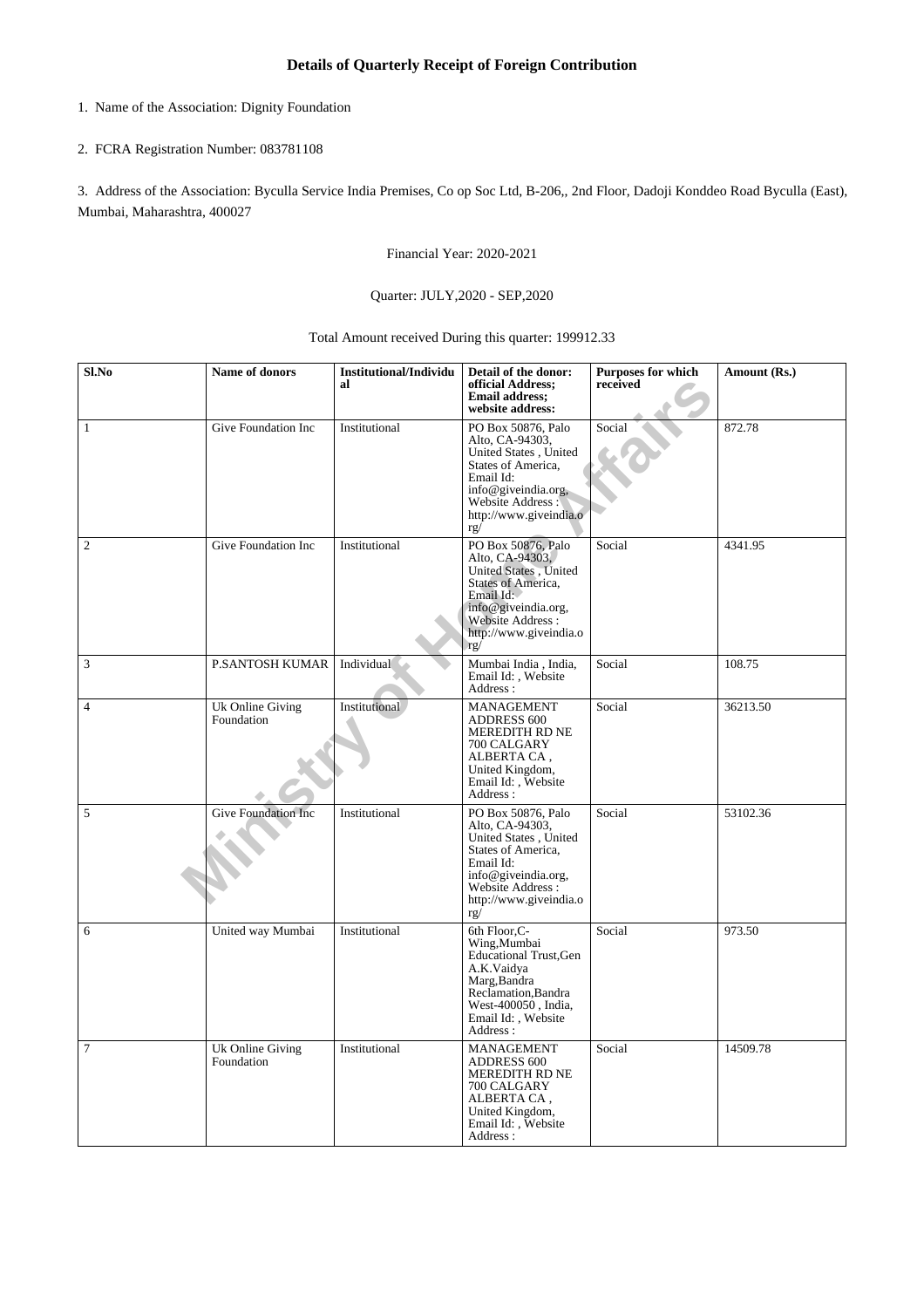- 1. Name of the Association: Dignity Foundation
- 2. FCRA Registration Number: 083781108

3. Address of the Association: Byculla Service India Premises, Co op Soc Ltd, B-206,, 2nd Floor, Dadoji Konddeo Road Byculla (East), Mumbai, Maharashtra, 400027

Financial Year: 2020-2021

## Quarter: JULY,2020 - SEP,2020

Total Amount received During this quarter: 199912.33

| Sl.No          | Name of donors                 | <b>Institutional/Individu</b><br>al | Detail of the donor:<br>official Address;<br><b>Email address;</b><br>website address:                                                                                        | <b>Purposes for which</b><br>received | Amount (Rs.) |
|----------------|--------------------------------|-------------------------------------|-------------------------------------------------------------------------------------------------------------------------------------------------------------------------------|---------------------------------------|--------------|
| $\mathbf{1}$   | Give Foundation Inc            | Institutional                       | PO Box 50876, Palo<br>Alto, CA-94303,<br>United States, United<br>States of America,<br>Email Id:<br>info@giveindia.org,<br>Website Address:<br>http://www.giveindia.o<br>rg/ | Social                                | 872.78       |
| $\overline{2}$ | Give Foundation Inc            | Institutional                       | PO Box 50876, Palo<br>Alto, CA-94303,<br>United States, United<br>States of America,<br>Email Id:<br>info@giveindia.org,<br>Website Address:<br>http://www.giveindia.o<br>rg/ | Social                                | 4341.95      |
| 3              | <b>P.SANTOSH KUMAR</b>         | Individual                          | Mumbai India, India,<br>Email Id:, Website<br>Address:                                                                                                                        | Social                                | 108.75       |
| $\overline{4}$ | Uk Online Giving<br>Foundation | Institutional                       | MANAGEMENT<br><b>ADDRESS 600</b><br>MEREDITH RD NE<br>700 CALGARY<br>ALBERTA CA.<br>United Kingdom,<br>Email Id: , Website<br>Address:                                        | Social                                | 36213.50     |
| 5              | <b>Give Foundation Inc</b>     | Institutional                       | PO Box 50876, Palo<br>Alto, CA-94303,<br>United States, United<br>States of America,<br>Email Id:<br>info@giveindia.org,<br>Website Address:<br>http://www.giveindia.o<br>rg/ | Social                                | 53102.36     |
| 6              | United way Mumbai              | Institutional                       | 6th Floor, C-<br>Wing, Mumbai<br><b>Educational Trust, Gen</b><br>A.K.Vaidya<br>Marg, Bandra<br>Reclamation, Bandra<br>West-400050, India,<br>Email Id:, Website<br>Address:  | Social                                | 973.50       |
| $\tau$         | Uk Online Giving<br>Foundation | Institutional                       | MANAGEMENT<br><b>ADDRESS 600</b><br>MEREDITH RD NE<br>700 CALGARY<br>ALBERTA CA,<br>United Kingdom,<br>Email Id:, Website<br>Address:                                         | Social                                | 14509.78     |